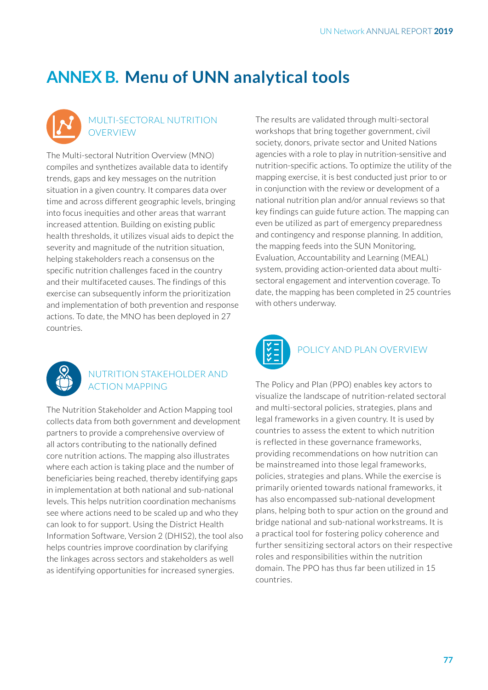# **ANNEX B. Menu of UNN analytical tools**



#### MULTI-SECTORAL NUTRITION **OVERVIEW**

The Multi-sectoral Nutrition Overview (MNO) compiles and synthetizes available data to identify trends, gaps and key messages on the nutrition situation in a given country. It compares data over time and across different geographic levels, bringing into focus inequities and other areas that warrant increased attention. Building on existing public health thresholds, it utilizes visual aids to depict the severity and magnitude of the nutrition situation, helping stakeholders reach a consensus on the specific nutrition challenges faced in the country and their multifaceted causes. The findings of this exercise can subsequently inform the prioritization and implementation of both prevention and response actions. To date, the MNO has been deployed in 27 countries.



#### NUTRITION STAKEHOLDER AND ACTION MAPPING

The Nutrition Stakeholder and Action Mapping tool collects data from both government and development partners to provide a comprehensive overview of all actors contributing to the nationally defined core nutrition actions. The mapping also illustrates where each action is taking place and the number of beneficiaries being reached, thereby identifying gaps in implementation at both national and sub-national levels. This helps nutrition coordination mechanisms see where actions need to be scaled up and who they can look to for support. Using the District Health Information Software, Version 2 (DHIS2), the tool also helps countries improve coordination by clarifying the linkages across sectors and stakeholders as well as identifying opportunities for increased synergies.

The results are validated through multi-sectoral workshops that bring together government, civil society, donors, private sector and United Nations agencies with a role to play in nutrition-sensitive and nutrition-specific actions. To optimize the utility of the mapping exercise, it is best conducted just prior to or in conjunction with the review or development of a national nutrition plan and/or annual reviews so that key findings can guide future action. The mapping can even be utilized as part of emergency preparedness and contingency and response planning. In addition, the mapping feeds into the SUN Monitoring, Evaluation, Accountability and Learning (MEAL) system, providing action-oriented data about multisectoral engagement and intervention coverage. To date, the mapping has been completed in 25 countries with others underway.



### POLICY AND PLAN OVERVIEW

The Policy and Plan (PPO) enables key actors to visualize the landscape of nutrition-related sectoral and multi-sectoral policies, strategies, plans and legal frameworks in a given country. It is used by countries to assess the extent to which nutrition is reflected in these governance frameworks, providing recommendations on how nutrition can be mainstreamed into those legal frameworks, policies, strategies and plans. While the exercise is primarily oriented towards national frameworks, it has also encompassed sub-national development plans, helping both to spur action on the ground and bridge national and sub-national workstreams. It is a practical tool for fostering policy coherence and further sensitizing sectoral actors on their respective roles and responsibilities within the nutrition domain. The PPO has thus far been utilized in 15 countries.